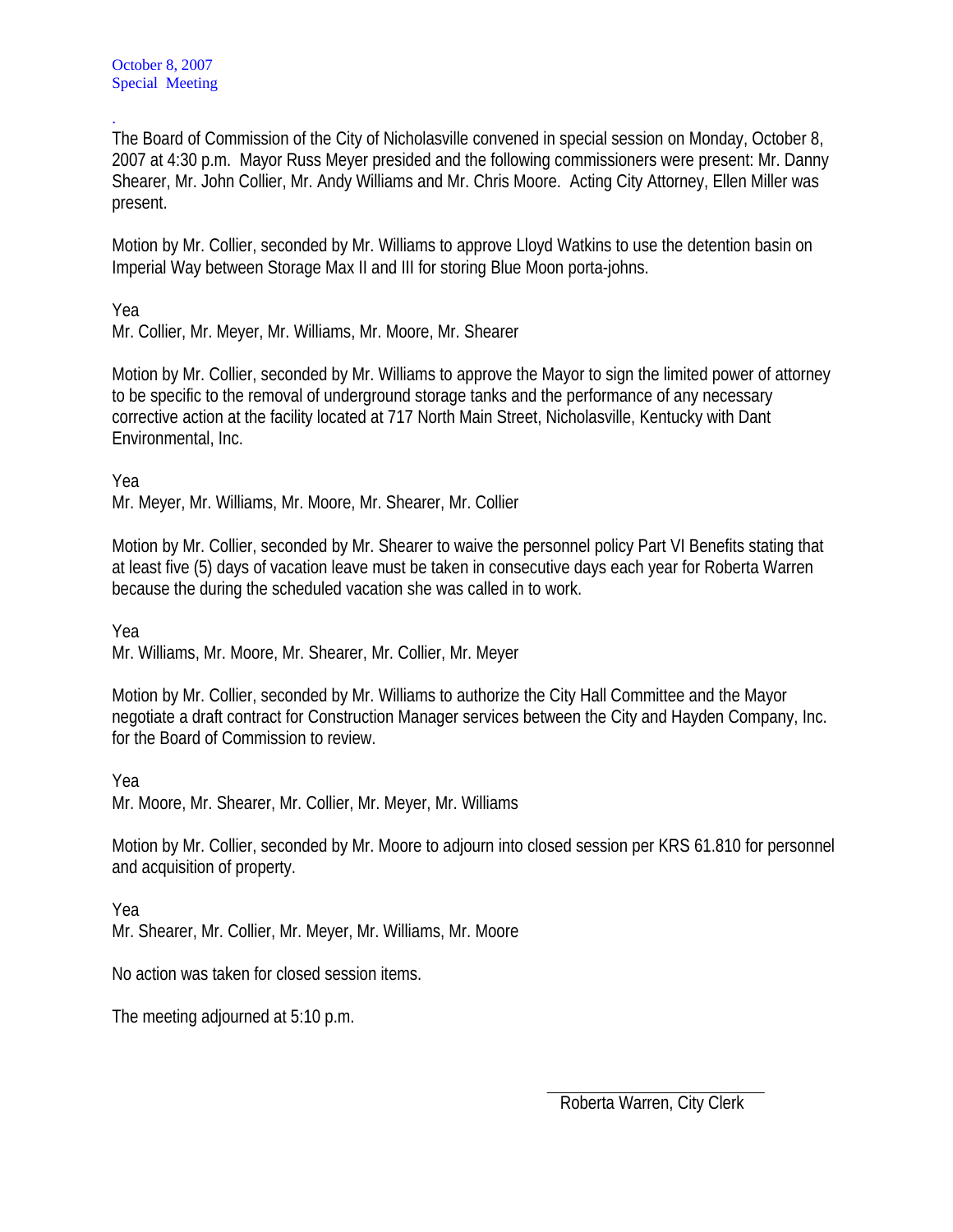The Board of Commission of the City of Nicholasville convened in special session on Monday, October 8, 2007 at 4:30 p.m. Mayor Russ Meyer presided and the following commissioners were present: Mr. Danny Shearer, Mr. John Collier, Mr. Andy Williams and Mr. Chris Moore. Acting City Attorney, Ellen Miller was present.

Motion by Mr. Collier, seconded by Mr. Williams to approve Lloyd Watkins to use the detention basin on Imperial Way between Storage Max II and III for storing Blue Moon porta-johns.

Yea

.

Mr. Collier, Mr. Meyer, Mr. Williams, Mr. Moore, Mr. Shearer

Motion by Mr. Collier, seconded by Mr. Williams to approve the Mayor to sign the limited power of attorney to be specific to the removal of underground storage tanks and the performance of any necessary corrective action at the facility located at 717 North Main Street, Nicholasville, Kentucky with Dant Environmental, Inc.

Yea

Mr. Meyer, Mr. Williams, Mr. Moore, Mr. Shearer, Mr. Collier

Motion by Mr. Collier, seconded by Mr. Shearer to waive the personnel policy Part VI Benefits stating that at least five (5) days of vacation leave must be taken in consecutive days each year for Roberta Warren because the during the scheduled vacation she was called in to work.

Yea

Mr. Williams, Mr. Moore, Mr. Shearer, Mr. Collier, Mr. Meyer

Motion by Mr. Collier, seconded by Mr. Williams to authorize the City Hall Committee and the Mayor negotiate a draft contract for Construction Manager services between the City and Hayden Company, Inc. for the Board of Commission to review.

Yea

Mr. Moore, Mr. Shearer, Mr. Collier, Mr. Meyer, Mr. Williams

Motion by Mr. Collier, seconded by Mr. Moore to adjourn into closed session per KRS 61.810 for personnel and acquisition of property.

Yea Mr. Shearer, Mr. Collier, Mr. Meyer, Mr. Williams, Mr. Moore

No action was taken for closed session items.

The meeting adjourned at 5:10 p.m.

Roberta Warren, City Clerk